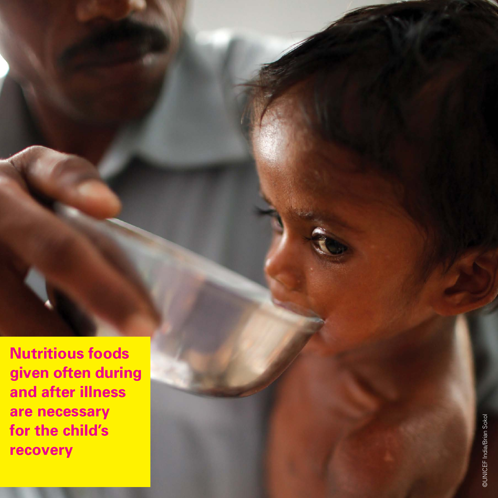**Nutritious foods given often during and after illness are necessary for the child's recovery**